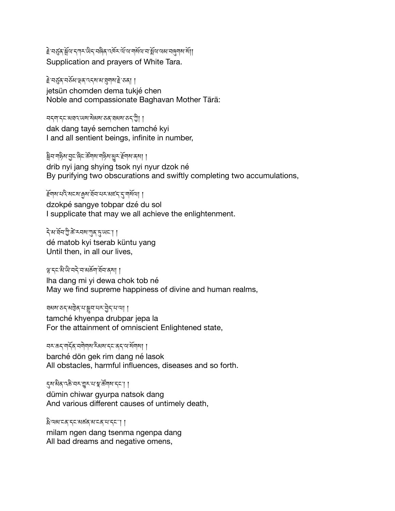हे मर्ड्स् क्लेंया दणर छेद मलेन पर्वे पर्या कर्णया कर्या क्लें अपने कार्यो। Supplication and prayers of White Tara.

≩`ঘड़ॖ॔ढ़ॱঘड़ॅॺॱৠॺॱॶग़ॺॱऄॖॱॸॳॖ jetsün chomden dema tukjé chen Noble and compassionate Baghavan Mother Tārā:

## བདག་དང་མཐའ་ཡས་སེམས་ཅན་ཐམས་ཅད་ཀྱི། །

dak dang tayé semchen tamché kyi I and all sentient beings, infinite in number,

ষ্ট্ৰন'না§থ'ব্ৰুহ'ৰ্জিহ'ৰ্উন্ম'না§থ'মুহ'ৰ্ইন্মৰ'ৰ্ষা । drib nyi jang shying tsok nyi nyur dzok né By purifying two obscurations and swiftly completing two accumulations,

ِ के बार देखा है। अर्च का स्थान के स्थान स्थान स्थान स्थान स्थान स्थान स्थान स्थान स्थान स्थान स्थान स्थान स्था<br>स्थान स्थान स्थान स्थान स्थान स्थान स्थान स्थान स्थान स्थान स्थान स्थान स्थान स्थान स्थान स्थान स्थान स्थान dzokpé sangye tobpar dzé du sol I supplicate that may we all achieve the enlightenment.

དེ་མ་ཐོབ་ཀྱི་ཚེ་རབས་ཀུན་J་ཡང༌། ། dé matob kyi tserab küntu yang Until then, in all our lives,

ལྷ་དང་མི་ཡི་བདེ་བ་མཆོག་ཐོབ་ནས། ། lha dang mi yi dewa chok tob né May we find supreme happiness of divine and human realms,

ঘঝম'ড়্'মট্টুৰ্'ম'ক্লুন'ম্ম'ট্ৰন'ম'আ ।

tamché khyenpa drubpar jepa la For the attainment of omniscient Enlightened state,

བར་ཆད་གདོན་བགེགས་རིམས་དང་ནད་ལ་སོགས། །

barché dön gek rim dang né lasok All obstacles, harmful influences, diseases and so forth.

དུས་མིན་འཆི་བར་གྱུར་པ་སྣ་ཚོགས་དང་། །

dümin chiwar gyurpa natsok dang And various different causes of untimely death,

ষ্ট্ৰিঅম'মৰ্'ব্ছ'মাৰ্ক'ম'ব্ছ''। ।

milam ngen dang tsenma ngenpa dang All bad dreams and negative omens,